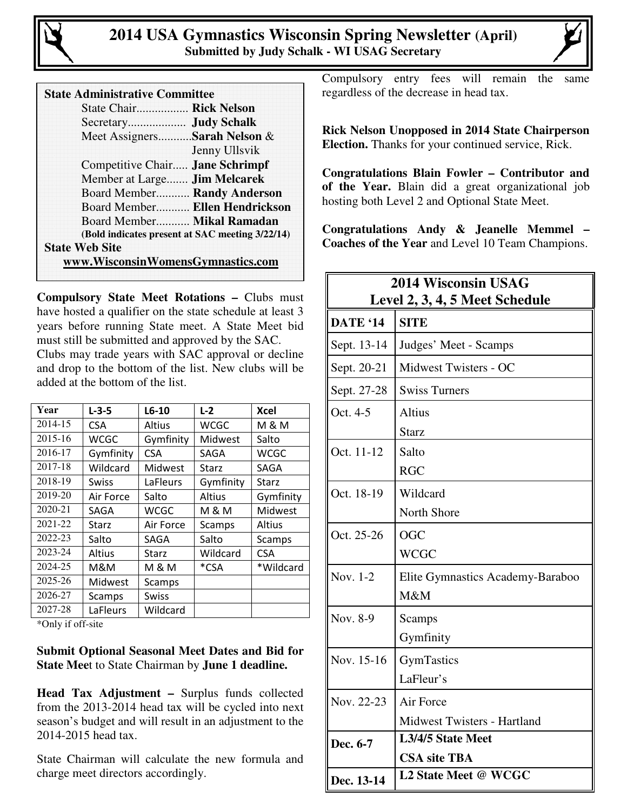

| <b>State Administrative Committee</b> |  |
|---------------------------------------|--|
|---------------------------------------|--|

| State Chair Rick Nelson           |                                                 |
|-----------------------------------|-------------------------------------------------|
|                                   |                                                 |
| Meet AssignersSarah Nelson &      |                                                 |
|                                   | Jenny Ullsvik                                   |
| Competitive Chair Jane Schrimpf   |                                                 |
| Member at Large Jim Melcarek      |                                                 |
| Board Member Randy Anderson       |                                                 |
|                                   | Board Member Ellen Hendrickson                  |
| Board Member Mikal Ramadan        |                                                 |
|                                   | (Bold indicates present at SAC meeting 3/22/14) |
| <b>State Web Site</b>             |                                                 |
| www.WisconsinWomensGymnastics.com |                                                 |

**Compulsory State Meet Rotations –** Clubs must have hosted a qualifier on the state schedule at least 3 years before running State meet. A State Meet bid must still be submitted and approved by the SAC. Clubs may trade years with SAC approval or decline and drop to the bottom of the list. New clubs will be added at the bottom of the list.

| Year    | $L - 3 - 5$    | $L6-10$       | $L-2$     | <b>Xcel</b>  |
|---------|----------------|---------------|-----------|--------------|
| 2014-15 | <b>CSA</b>     | <b>Altius</b> | WCGC      | M & M        |
| 2015-16 | <b>WCGC</b>    | Gymfinity     | Midwest   | Salto        |
| 2016-17 | Gymfinity      | <b>CSA</b>    | SAGA      | WCGC         |
| 2017-18 | Wildcard       | Midwest       | Starz     | SAGA         |
| 2018-19 | Swiss          | LaFleurs      | Gymfinity | <b>Starz</b> |
| 2019-20 | Air Force      | Salto         | Altius    | Gymfinity    |
| 2020-21 | SAGA           | WCGC          | M & M     | Midwest      |
| 2021-22 | Starz          | Air Force     | Scamps    | Altius       |
| 2022-23 | Salto          | SAGA          | Salto     | Scamps       |
| 2023-24 | <b>Altius</b>  | Starz         | Wildcard  | <b>CSA</b>   |
| 2024-25 | M&M            | M & M         | *CSA      | *Wildcard    |
| 2025-26 | <b>Midwest</b> | Scamps        |           |              |
| 2026-27 | Scamps         | <b>Swiss</b>  |           |              |
| 2027-28 | LaFleurs       | Wildcard      |           |              |

\*Only if off-site

**Submit Optional Seasonal Meet Dates and Bid for State Mee**t to State Chairman by **June 1 deadline.** 

**Head Tax Adjustment –** Surplus funds collected from the 2013-2014 head tax will be cycled into next season's budget and will result in an adjustment to the 2014-2015 head tax.

State Chairman will calculate the new formula and charge meet directors accordingly.

Compulsory entry fees will remain the same regardless of the decrease in head tax.

**Rick Nelson Unopposed in 2014 State Chairperson Election.** Thanks for your continued service, Rick.

**Congratulations Blain Fowler – Contributor and of the Year.** Blain did a great organizational job hosting both Level 2 and Optional State Meet.

**Congratulations Andy & Jeanelle Memmel – Coaches of the Year** and Level 10 Team Champions.

| <b>2014 Wisconsin USAG</b><br>Level 2, 3, 4, 5 Meet Schedule |                                                 |  |
|--------------------------------------------------------------|-------------------------------------------------|--|
| DATE '14                                                     | <b>SITE</b>                                     |  |
| Sept. 13-14                                                  | Judges' Meet - Scamps                           |  |
| Sept. 20-21                                                  | Midwest Twisters - OC                           |  |
| Sept. 27-28                                                  | <b>Swiss Turners</b>                            |  |
| Oct. 4-5                                                     | <b>Altius</b><br>Starz                          |  |
| Oct. 11-12                                                   | Salto<br><b>RGC</b>                             |  |
| Oct. 18-19                                                   | Wildcard<br>North Shore                         |  |
| Oct. 25-26                                                   | <b>OGC</b><br><b>WCGC</b>                       |  |
| Nov. 1-2                                                     | Elite Gymnastics Academy-Baraboo<br>M&M         |  |
| Nov. 8-9                                                     | Scamps<br>Gymfinity                             |  |
| Nov. 15-16                                                   | GymTastics<br>LaFleur's                         |  |
| Nov. 22-23                                                   | Air Force<br><b>Midwest Twisters - Hartland</b> |  |
| Dec. 6-7                                                     | L3/4/5 State Meet<br><b>CSA site TBA</b>        |  |
| Dec. 13-14                                                   | L2 State Meet @ WCGC                            |  |